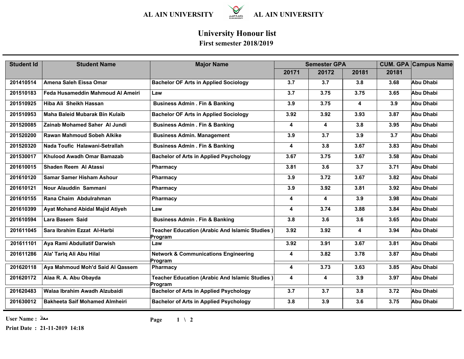

## **University Honour list**

## **First semester 2018/2019**

| <b>Student Id</b> | <b>Student Name</b>                   | <b>Major Name</b>                                          | <b>Semester GPA</b>     |       |       | <b>CUM. GPA Campus Name</b> |                  |
|-------------------|---------------------------------------|------------------------------------------------------------|-------------------------|-------|-------|-----------------------------|------------------|
|                   |                                       |                                                            | 20171                   | 20172 | 20181 | 20181                       |                  |
| 201410514         | Amena Saleh Eissa Omar                | <b>Bachelor OF Arts in Applied Sociology</b>               | 3.7                     | 3.7   | 3.8   | 3.68                        | Abu Dhabi        |
| 201510183         | Feda Husameddin Mahmoud Al Ameiri     | Law                                                        | 3.7                     | 3.75  | 3.75  | 3.65                        | Abu Dhabi        |
| 201510925         | Hiba Ali Sheikh Hassan                | <b>Business Admin . Fin &amp; Banking</b>                  | 3.9                     | 3.75  | 4     | 3.9                         | Abu Dhabi        |
| 201510953         | Maha Baleid Mubarak Bin Kulaib        | <b>Bachelor OF Arts in Applied Sociology</b>               | 3.92                    | 3.92  | 3.93  | 3.87                        | Abu Dhabi        |
| 201520085         | <b>Zainab Mohamed Saher Al Jundi</b>  | <b>Business Admin . Fin &amp; Banking</b>                  | $\overline{\mathbf{4}}$ | 4     | 3.8   | 3.95                        | Abu Dhabi        |
| 201520200         | <b>Rawan Mahmoud Sobeh Alkike</b>     | <b>Business Admin. Management</b>                          | 3.9                     | 3.7   | 3.9   | 3.7                         | Abu Dhabi        |
| 201520320         | Nada Toufic Halawani-Setrallah        | <b>Business Admin . Fin &amp; Banking</b>                  | $\overline{\mathbf{4}}$ | 3.8   | 3.67  | 3.83                        | Abu Dhabi        |
| 201530017         | Khulood Awadh Omar Bamazab            | <b>Bachelor of Arts in Applied Psychology</b>              | 3.67                    | 3.75  | 3.67  | 3.58                        | Abu Dhabi        |
| 201610015         | <b>Shaden Reem Al Atassi</b>          | Pharmacy                                                   | 3.81                    | 3.6   | 3.7   | 3.71                        | Abu Dhabi        |
| 201610120         | <b>Samar Samer Hisham Ashour</b>      | Pharmacy                                                   | 3.9                     | 3.72  | 3.67  | 3.82                        | Abu Dhabi        |
| 201610121         | Nour Alauddin Sammani                 | Pharmacy                                                   | 3.9                     | 3.92  | 3.81  | 3.92                        | Abu Dhabi        |
| 201610155         | Rana Chaim Abdulrahman                | Pharmacy                                                   | 4                       | 4     | 3.9   | 3.98                        | <b>Abu Dhabi</b> |
| 201610399         | Ayat Mohand Abidal Majid Atiyeh       | Law                                                        | $\overline{\mathbf{4}}$ | 3.74  | 3.88  | 3.84                        | Abu Dhabi        |
| 201610594         | Lara Basem Said                       | <b>Business Admin . Fin &amp; Banking</b>                  | 3.8                     | 3.6   | 3.6   | 3.65                        | Abu Dhabi        |
| 201611045         | Sara Ibrahim Ezzat Al-Harbi           | Teacher Education (Arabic And Islamic Studies)<br>Program  | 3.92                    | 3.92  | 4     | 3.94                        | Abu Dhabi        |
| 201611101         | Aya Rami Abdullatif Darwish           | Law                                                        | 3.92                    | 3.91  | 3.67  | 3.81                        | Abu Dhabi        |
| 201611286         | Ala' Tariq Ali Abu Hilal              | <b>Network &amp; Communications Engineering</b><br>Program | 4                       | 3.82  | 3.78  | 3.87                        | Abu Dhabi        |
| 201620118         | Aya Mahmoud Moh'd Said Al Qassem      | Pharmacy                                                   | 4                       | 3.73  | 3.63  | 3.85                        | Abu Dhabi        |
| 201620172         | Alaa R. A. Abu Obayda                 | Teacher Education (Arabic And Islamic Studies)<br>Program  | 4                       | 4     | 3.9   | 3.97                        | Abu Dhabi        |
| 201620483         | Walaa Ibrahim Awadh Alzubaidi         | <b>Bachelor of Arts in Applied Psychology</b>              | 3.7                     | 3.7   | 3.8   | 3.72                        | Abu Dhabi        |
| 201630012         | <b>Bakheeta Saif Mohamed Almheiri</b> | <b>Bachelor of Arts in Applied Psychology</b>              | 3.8                     | 3.9   | 3.6   | 3.75                        | Abu Dhabi        |

**User Name : معاذ**

**Print Date : 21-11-2019 14:18**